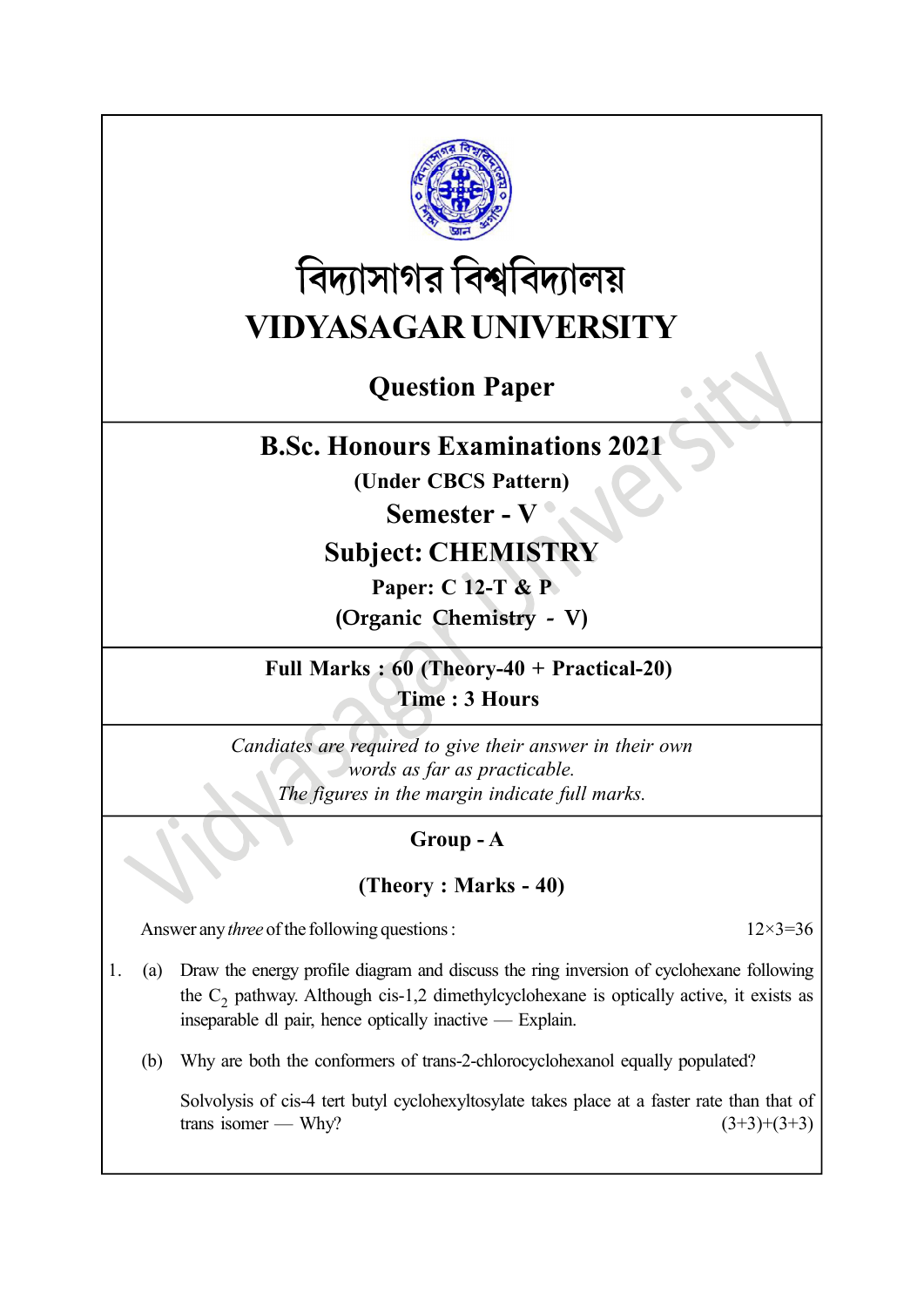

# বিদ্যাসাগর বিশ্ববিদ্যালয় VIDYASAGAR UNIVERSITY

## Question Paper

### B.Sc. Honours Examinations 2021

(Under CBCS Pattern)

#### Semester - V

## Subject: CHEMISTRY

Paper: C 12-T & P

(Organic Chemistry - V)

Full Marks : 60 (Theory-40 + Practical-20) Time : 3 Hours

Candiates are required to give their answer in their own words as far as practicable. The figures in the margin indicate full marks.

#### Group - A

#### (Theory : Marks - 40)

Answer any *three* of the following questions :  $12 \times 3 = 36$ 

1. (a) Draw the energy profile diagram and discuss the ring inversion of cyclohexane following the  $C_2$  pathway. Although cis-1,2 dimethylcyclohexane is optically active, it exists as inseparable dl pair, hence optically inactive — Explain.

(b) Why are both the conformers of trans-2-chlorocyclohexanol equally populated?

Solvolysis of cis-4 tert butyl cyclohexyltosylate takes place at a faster rate than that of trans isomer — Why?  $(3+3)+(3+3)$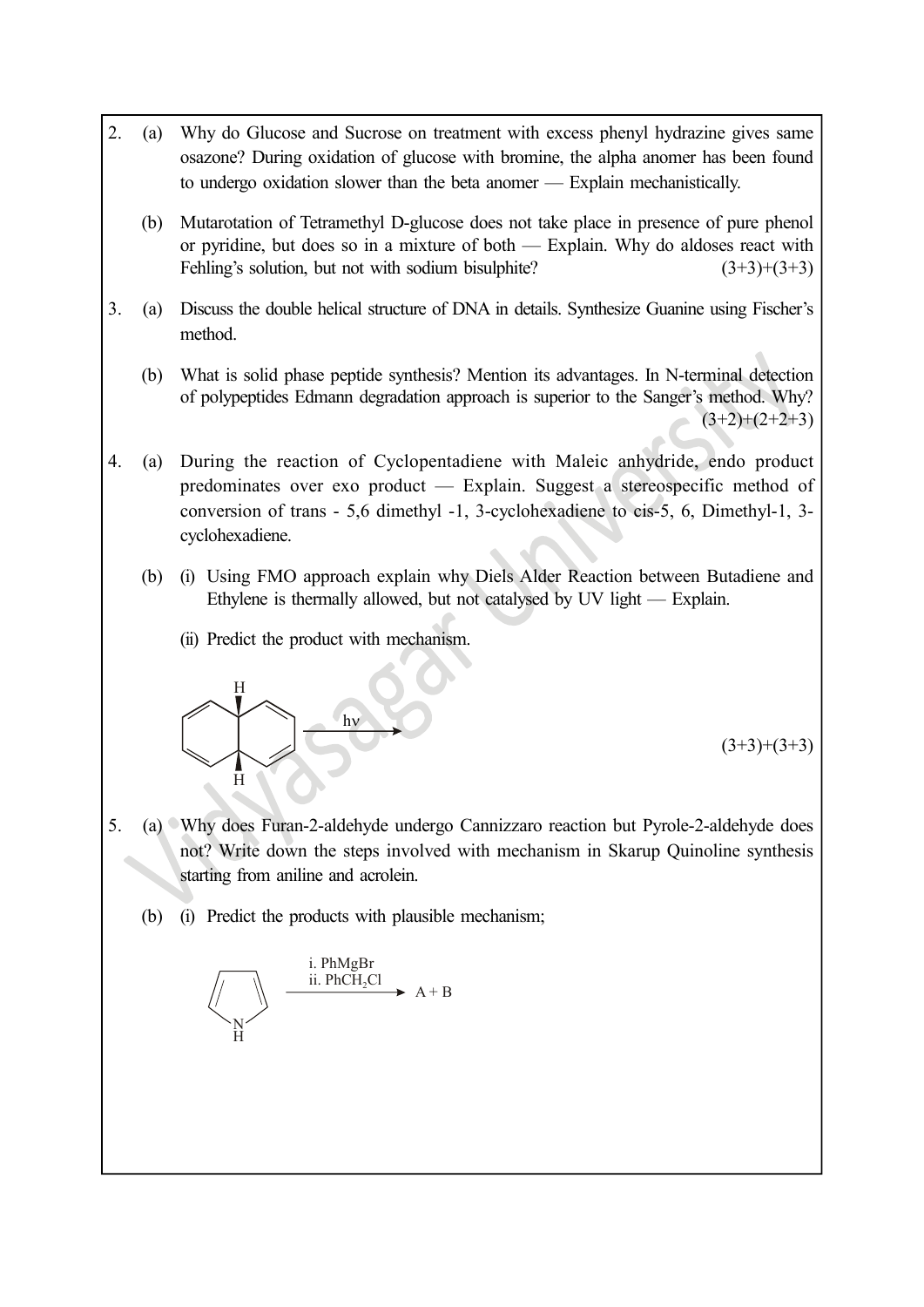- 2. (a) Why do Glucose and Sucrose on treatment with excess phenyl hydrazine gives same osazone? During oxidation of glucose with bromine, the alpha anomer has been found to undergo oxidation slower than the beta anomer — Explain mechanistically.
	- (b) Mutarotation of Tetramethyl D-glucose does not take place in presence of pure phenol or pyridine, but does so in a mixture of both — Explain. Why do aldoses react with Fehling's solution, but not with sodium bisulphite?  $(3+3)+(3+3)$
- 3. (a) Discuss the double helical structure of DNA in details. Synthesize Guanine using Fischer's method.
	- (b) What is solid phase peptide synthesis? Mention its advantages. In N-terminal detection of polypeptides Edmann degradation approach is superior to the Sanger's method. Why?  $(3+2)+(2+2+3)$
- 4. (a) During the reaction of Cyclopentadiene with Maleic anhydride, endo product predominates over exo product — Explain. Suggest a stereospecific method of conversion of trans - 5,6 dimethyl -1, 3-cyclohexadiene to cis-5, 6, Dimethyl-1, 3 cyclohexadiene.
	- (b) (i) Using FMO approach explain why Diels Alder Reaction between Butadiene and Ethylene is thermally allowed, but not catalysed by UV light — Explain.
		- (ii) Predict the product with mechanism.



 $(3+3)+(3+3)$ 

- 5. (a) Why does Furan-2-aldehyde undergo Cannizzaro reaction but Pyrole-2-aldehyde does not? Write down the steps involved with mechanism in Skarup Quinoline synthesis starting from aniline and acrolein. mailly allowed, but not catalysed by UV light — Explain.<br>
Figure 1. The Channel School of the Channel School of the Channel School of the School of the steps involved with mechanism in Skarup Quinoline synthesis<br>
the step
	- (b) (i) Predict the products with plausible mechanism;

 $N<sub>1</sub>$  $\dot{H}$ i. PhMgBr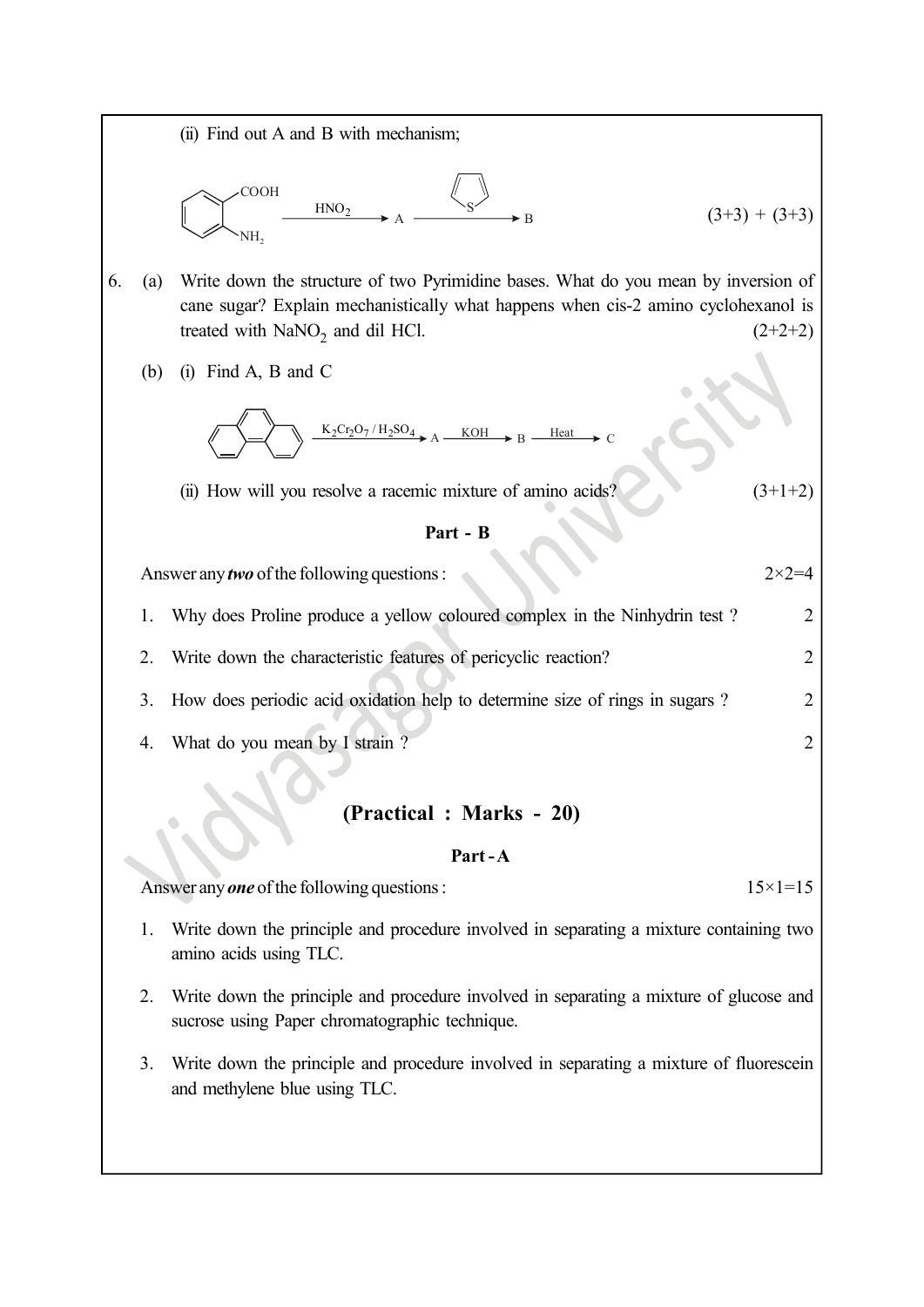